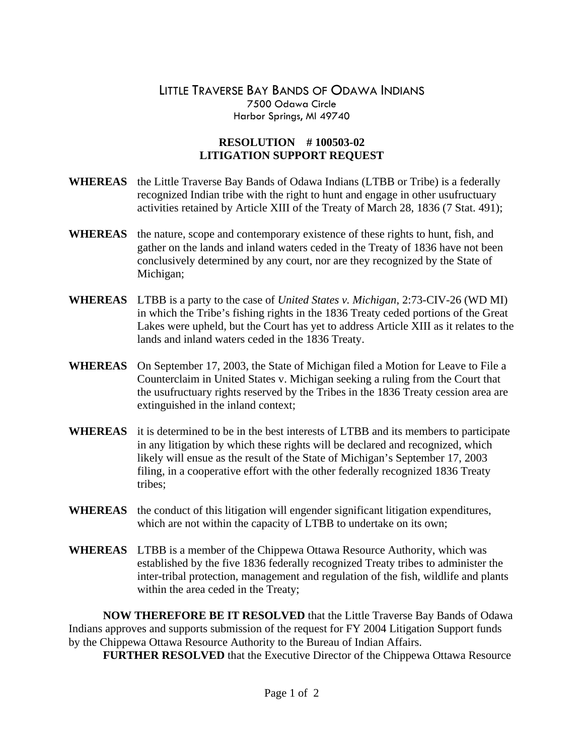## LITTLE TRAVERSE BAY BANDS OF ODAWA INDIANS 7500 Odawa Circle Harbor Springs, MI 49740

## **RESOLUTION # 100503-02 LITIGATION SUPPORT REQUEST**

- **WHEREAS** the Little Traverse Bay Bands of Odawa Indians (LTBB or Tribe) is a federally recognized Indian tribe with the right to hunt and engage in other usufructuary activities retained by Article XIII of the Treaty of March 28, 1836 (7 Stat. 491);
- **WHEREAS** the nature, scope and contemporary existence of these rights to hunt, fish, and gather on the lands and inland waters ceded in the Treaty of 1836 have not been conclusively determined by any court, nor are they recognized by the State of Michigan;
- **WHEREAS** LTBB is a party to the case of *United States v. Michigan*, 2:73-CIV-26 (WD MI) in which the Tribe's fishing rights in the 1836 Treaty ceded portions of the Great Lakes were upheld, but the Court has yet to address Article XIII as it relates to the lands and inland waters ceded in the 1836 Treaty.
- **WHEREAS** On September 17, 2003, the State of Michigan filed a Motion for Leave to File a Counterclaim in United States v. Michigan seeking a ruling from the Court that the usufructuary rights reserved by the Tribes in the 1836 Treaty cession area are extinguished in the inland context;
- **WHEREAS** it is determined to be in the best interests of LTBB and its members to participate in any litigation by which these rights will be declared and recognized, which likely will ensue as the result of the State of Michigan's September 17, 2003 filing, in a cooperative effort with the other federally recognized 1836 Treaty tribes;
- **WHEREAS** the conduct of this litigation will engender significant litigation expenditures, which are not within the capacity of LTBB to undertake on its own;
- **WHEREAS** LTBB is a member of the Chippewa Ottawa Resource Authority, which was established by the five 1836 federally recognized Treaty tribes to administer the inter-tribal protection, management and regulation of the fish, wildlife and plants within the area ceded in the Treaty;

**NOW THEREFORE BE IT RESOLVED** that the Little Traverse Bay Bands of Odawa Indians approves and supports submission of the request for FY 2004 Litigation Support funds by the Chippewa Ottawa Resource Authority to the Bureau of Indian Affairs.

 **FURTHER RESOLVED** that the Executive Director of the Chippewa Ottawa Resource